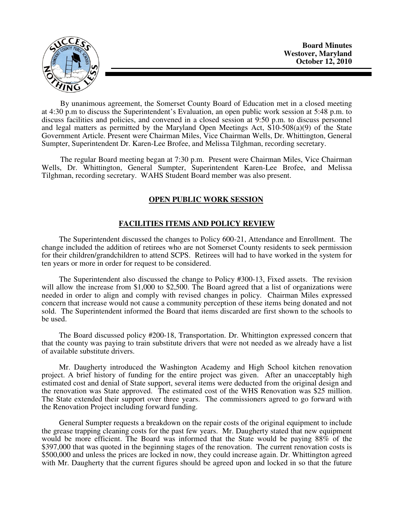

By unanimous agreement, the Somerset County Board of Education met in a closed meeting at 4:30 p.m to discuss the Superintendent's Evaluation, an open public work session at 5:48 p.m. to discuss facilities and policies, and convened in a closed session at 9:50 p.m. to discuss personnel and legal matters as permitted by the Maryland Open Meetings Act, S10-508(a)(9) of the State Government Article. Present were Chairman Miles, Vice Chairman Wells, Dr. Whittington, General Sumpter, Superintendent Dr. Karen-Lee Brofee, and Melissa Tilghman, recording secretary.

The regular Board meeting began at 7:30 p.m. Present were Chairman Miles, Vice Chairman Wells, Dr. Whittington, General Sumpter, Superintendent Karen-Lee Brofee, and Melissa Tilghman, recording secretary. WAHS Student Board member was also present.

## **OPEN PUBLIC WORK SESSION**

## **FACILITIES ITEMS AND POLICY REVIEW**

 The Superintendent discussed the changes to Policy 600-21, Attendance and Enrollment. The change included the addition of retirees who are not Somerset County residents to seek permission for their children/grandchildren to attend SCPS. Retirees will had to have worked in the system for ten years or more in order for request to be considered.

 The Superintendent also discussed the change to Policy #300-13, Fixed assets. The revision will allow the increase from \$1,000 to \$2,500. The Board agreed that a list of organizations were needed in order to align and comply with revised changes in policy. Chairman Miles expressed concern that increase would not cause a community perception of these items being donated and not sold. The Superintendent informed the Board that items discarded are first shown to the schools to be used.

 The Board discussed policy #200-18, Transportation. Dr. Whittington expressed concern that that the county was paying to train substitute drivers that were not needed as we already have a list of available substitute drivers.

 Mr. Daugherty introduced the Washington Academy and High School kitchen renovation project. A brief history of funding for the entire project was given. After an unacceptably high estimated cost and denial of State support, several items were deducted from the original design and the renovation was State approved. The estimated cost of the WHS Renovation was \$25 million. The State extended their support over three years. The commissioners agreed to go forward with the Renovation Project including forward funding.

 General Sumpter requests a breakdown on the repair costs of the original equipment to include the grease trapping cleaning costs for the past few years. Mr. Daugherty stated that new equipment would be more efficient. The Board was informed that the State would be paying 88% of the \$397,000 that was quoted in the beginning stages of the renovation. The current renovation costs is \$500,000 and unless the prices are locked in now, they could increase again. Dr. Whittington agreed with Mr. Daugherty that the current figures should be agreed upon and locked in so that the future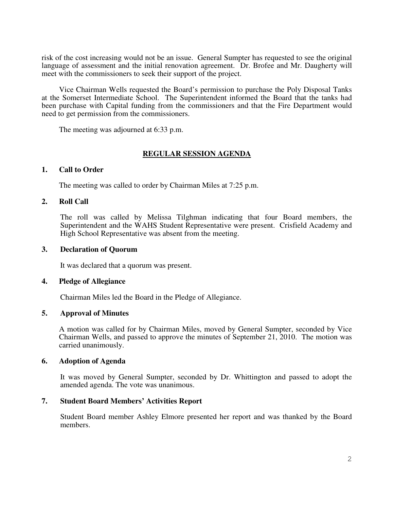risk of the cost increasing would not be an issue. General Sumpter has requested to see the original language of assessment and the initial renovation agreement. Dr. Brofee and Mr. Daugherty will meet with the commissioners to seek their support of the project.

 Vice Chairman Wells requested the Board's permission to purchase the Poly Disposal Tanks at the Somerset Intermediate School. The Superintendent informed the Board that the tanks had been purchase with Capital funding from the commissioners and that the Fire Department would need to get permission from the commissioners.

The meeting was adjourned at 6:33 p.m.

# **REGULAR SESSION AGENDA**

## **1. Call to Order**

The meeting was called to order by Chairman Miles at 7:25 p.m.

## **2. Roll Call**

The roll was called by Melissa Tilghman indicating that four Board members, the Superintendent and the WAHS Student Representative were present. Crisfield Academy and High School Representative was absent from the meeting.

## **3. Declaration of Quorum**

It was declared that a quorum was present.

## **4. Pledge of Allegiance**

Chairman Miles led the Board in the Pledge of Allegiance.

## **5. Approval of Minutes**

A motion was called for by Chairman Miles, moved by General Sumpter, seconded by Vice Chairman Wells, and passed to approve the minutes of September 21, 2010. The motion was carried unanimously.

## **6. Adoption of Agenda**

 It was moved by General Sumpter, seconded by Dr. Whittington and passed to adopt the amended agenda. The vote was unanimous.

## **7. Student Board Members' Activities Report**

Student Board member Ashley Elmore presented her report and was thanked by the Board members.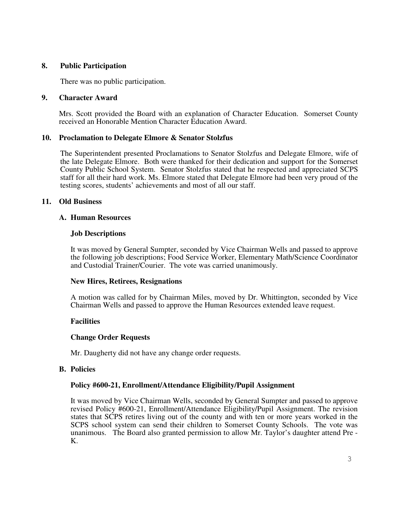## **8. Public Participation**

There was no public participation.

## **9. Character Award**

Mrs. Scott provided the Board with an explanation of Character Education. Somerset County received an Honorable Mention Character Education Award.

## **10. Proclamation to Delegate Elmore & Senator Stolzfus**

The Superintendent presented Proclamations to Senator Stolzfus and Delegate Elmore, wife of the late Delegate Elmore. Both were thanked for their dedication and support for the Somerset County Public School System. Senator Stolzfus stated that he respected and appreciated SCPS staff for all their hard work. Ms. Elmore stated that Delegate Elmore had been very proud of the testing scores, students' achievements and most of all our staff.

### **11. Old Business**

### **A. Human Resources**

### **Job Descriptions**

It was moved by General Sumpter, seconded by Vice Chairman Wells and passed to approve the following job descriptions; Food Service Worker, Elementary Math/Science Coordinator and Custodial Trainer/Courier. The vote was carried unanimously.

#### **New Hires, Retirees, Resignations**

A motion was called for by Chairman Miles, moved by Dr. Whittington, seconded by Vice Chairman Wells and passed to approve the Human Resources extended leave request.

## **Facilities**

## **Change Order Requests**

Mr. Daugherty did not have any change order requests.

#### **B. Policies**

## **Policy #600-21, Enrollment/Attendance Eligibility/Pupil Assignment**

It was moved by Vice Chairman Wells, seconded by General Sumpter and passed to approve revised Policy #600-21, Enrollment/Attendance Eligibility/Pupil Assignment. The revision states that SCPS retires living out of the county and with ten or more years worked in the SCPS school system can send their children to Somerset County Schools. The vote was unanimous. The Board also granted permission to allow Mr. Taylor's daughter attend Pre - K.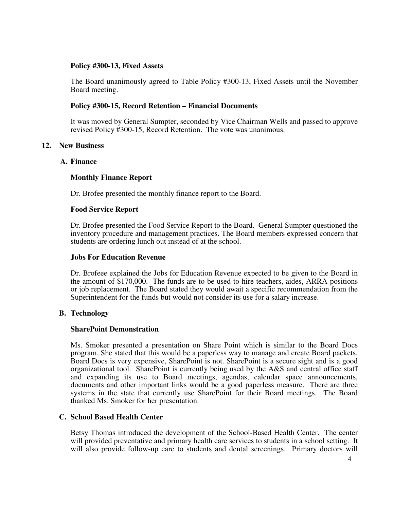### **Policy #300-13, Fixed Assets**

The Board unanimously agreed to Table Policy #300-13, Fixed Assets until the November Board meeting.

### **Policy #300-15, Record Retention – Financial Documents**

It was moved by General Sumpter, seconded by Vice Chairman Wells and passed to approve revised Policy #300-15, Record Retention. The vote was unanimous.

### **12. New Business**

### **A. Finance**

## **Monthly Finance Report**

Dr. Brofee presented the monthly finance report to the Board.

#### **Food Service Report**

Dr. Brofee presented the Food Service Report to the Board. General Sumpter questioned the inventory procedure and management practices. The Board members expressed concern that students are ordering lunch out instead of at the school.

#### **Jobs For Education Revenue**

Dr. Brofeee explained the Jobs for Education Revenue expected to be given to the Board in the amount of \$170,000. The funds are to be used to hire teachers, aides, ARRA positions or job replacement. The Board stated they would await a specific recommendation from the Superintendent for the funds but would not consider its use for a salary increase.

## **B. Technology**

#### **SharePoint Demonstration**

Ms. Smoker presented a presentation on Share Point which is similar to the Board Docs program. She stated that this would be a paperless way to manage and create Board packets. Board Docs is very expensive, SharePoint is not. SharePoint is a secure sight and is a good organizational tool. SharePoint is currently being used by the A&S and central office staff and expanding its use to Board meetings, agendas, calendar space announcements, documents and other important links would be a good paperless measure. There are three systems in the state that currently use SharePoint for their Board meetings. The Board thanked Ms. Smoker for her presentation.

## **C. School Based Health Center**

Betsy Thomas introduced the development of the School-Based Health Center. The center will provided preventative and primary health care services to students in a school setting. It will also provide follow-up care to students and dental screenings. Primary doctors will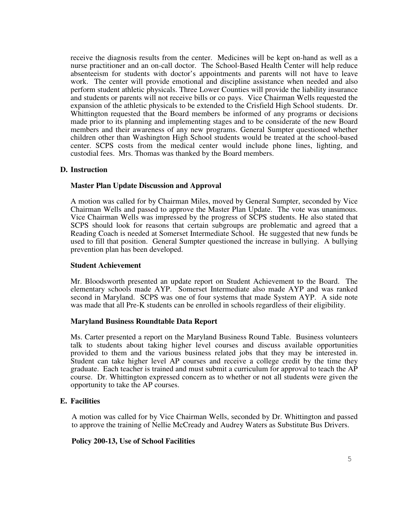receive the diagnosis results from the center. Medicines will be kept on-hand as well as a nurse practitioner and an on-call doctor. The School-Based Health Center will help reduce absenteeism for students with doctor's appointments and parents will not have to leave work. The center will provide emotional and discipline assistance when needed and also perform student athletic physicals. Three Lower Counties will provide the liability insurance and students or parents will not receive bills or co pays. Vice Chairman Wells requested the expansion of the athletic physicals to be extended to the Crisfield High School students. Dr. Whittington requested that the Board members be informed of any programs or decisions made prior to its planning and implementing stages and to be considerate of the new Board members and their awareness of any new programs. General Sumpter questioned whether children other than Washington High School students would be treated at the school-based center. SCPS costs from the medical center would include phone lines, lighting, and custodial fees. Mrs. Thomas was thanked by the Board members.

### **D. Instruction**

### **Master Plan Update Discussion and Approval**

A motion was called for by Chairman Miles, moved by General Sumpter, seconded by Vice Chairman Wells and passed to approve the Master Plan Update. The vote was unanimous. Vice Chairman Wells was impressed by the progress of SCPS students. He also stated that SCPS should look for reasons that certain subgroups are problematic and agreed that a Reading Coach is needed at Somerset Intermediate School. He suggested that new funds be used to fill that position. General Sumpter questioned the increase in bullying. A bullying prevention plan has been developed.

#### **Student Achievement**

Mr. Bloodsworth presented an update report on Student Achievement to the Board. The elementary schools made AYP. Somerset Intermediate also made AYP and was ranked second in Maryland. SCPS was one of four systems that made System AYP. A side note was made that all Pre-K students can be enrolled in schools regardless of their eligibility.

#### **Maryland Business Roundtable Data Report**

Ms. Carter presented a report on the Maryland Business Round Table. Business volunteers talk to students about taking higher level courses and discuss available opportunities provided to them and the various business related jobs that they may be interested in. Student can take higher level AP courses and receive a college credit by the time they graduate. Each teacher is trained and must submit a curriculum for approval to teach the AP course. Dr. Whittington expressed concern as to whether or not all students were given the opportunity to take the AP courses.

## **E. Facilities**

A motion was called for by Vice Chairman Wells, seconded by Dr. Whittington and passed to approve the training of Nellie McCready and Audrey Waters as Substitute Bus Drivers.

#### **Policy 200-13, Use of School Facilities**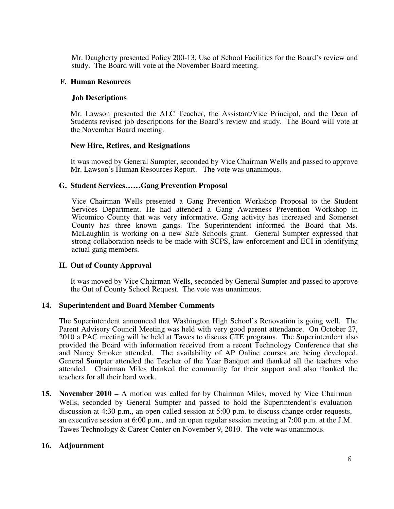Mr. Daugherty presented Policy 200-13, Use of School Facilities for the Board's review and study. The Board will vote at the November Board meeting.

### **F. Human Resources**

### **Job Descriptions**

Mr. Lawson presented the ALC Teacher, the Assistant/Vice Principal, and the Dean of Students revised job descriptions for the Board's review and study. The Board will vote at the November Board meeting.

### **New Hire, Retires, and Resignations**

It was moved by General Sumpter, seconded by Vice Chairman Wells and passed to approve Mr. Lawson's Human Resources Report. The vote was unanimous.

### **G. Student Services……Gang Prevention Proposal**

Vice Chairman Wells presented a Gang Prevention Workshop Proposal to the Student Services Department. He had attended a Gang Awareness Prevention Workshop in Wicomico County that was very informative. Gang activity has increased and Somerset County has three known gangs. The Superintendent informed the Board that Ms. McLaughlin is working on a new Safe Schools grant. General Sumpter expressed that strong collaboration needs to be made with SCPS, law enforcement and ECI in identifying actual gang members.

## **H. Out of County Approval**

It was moved by Vice Chairman Wells, seconded by General Sumpter and passed to approve the Out of County School Request. The vote was unanimous.

#### **14. Superintendent and Board Member Comments**

 The Superintendent announced that Washington High School's Renovation is going well. The Parent Advisory Council Meeting was held with very good parent attendance. On October 27, 2010 a PAC meeting will be held at Tawes to discuss CTE programs. The Superintendent also provided the Board with information received from a recent Technology Conference that she and Nancy Smoker attended. The availability of AP Online courses are being developed. General Sumpter attended the Teacher of the Year Banquet and thanked all the teachers who attended. Chairman Miles thanked the community for their support and also thanked the teachers for all their hard work.

**15. November 2010 –** A motion was called for by Chairman Miles, moved by Vice Chairman Wells, seconded by General Sumpter and passed to hold the Superintendent's evaluation discussion at 4:30 p.m., an open called session at 5:00 p.m. to discuss change order requests, an executive session at 6:00 p.m., and an open regular session meeting at 7:00 p.m. at the J.M. Tawes Technology & Career Center on November 9, 2010. The vote was unanimous.

#### **16. Adjournment**